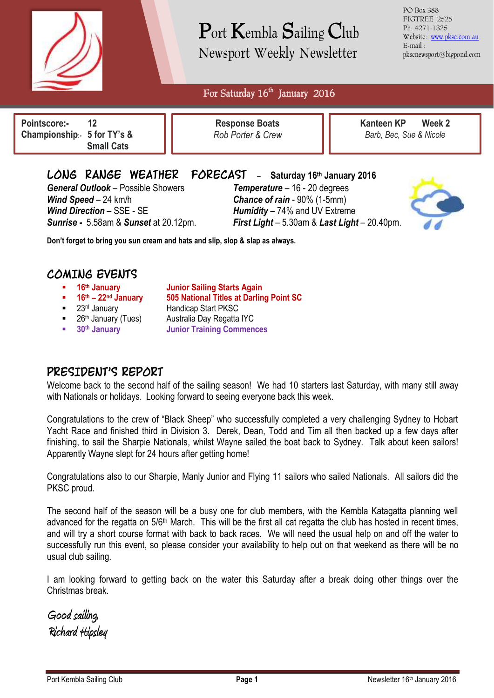

# Port Kembla Sailing Club Newsport Weekly Newsletter

PO Box 388 FIGTREE 2525 Ph: 4271-1325 Website: [www.pksc.com.au](http://www.pksc.com.au/) E-mail : pkscnewsport@bigpond.com

For Saturday 16<sup>th</sup> January 2016

 $\overline{a}$ **Pointscore:- 12 Championship:- 5 for TY's & Small Cats**

**Response Boats** *Rob Porter & Crew* **Kanteen KP Week 2** *Barb, Bec, Sue & Nicole*

# **LONG RANGE WEATHER FORECAST** - **Saturday 16 th January 2016**

*General Outlook* – Possible Showers *Temperature* – 16 - 20 degrees *Wind Speed* – 24 km/h *Chance of rain* - 90% (1-5mm) *Wind Direction* – SSE - SE *Humidity* – 74% and UV Extreme

*Sunrise -* 5.58am & *Sunset* at 20.12pm. *First Light* – 5.30am & *Last Light* – 20.40pm.



**Don't forget to bring you sun cream and hats and slip, slop & slap as always.**

#### **COMING EVENTS**

- **16<sup>th</sup> January**<br>16<sup>th</sup> 22<sup>nd</sup> January
- 
- $\blacksquare$  23rd January
- $\blacksquare$  26<sup>th</sup> January (Tues)
- 

**Junior Sailing Starts Again 16th – 22nd January 505 National Titles at Darling Point SC** Handicap Start PKSC Australia Day Regatta IYC **30th January Junior Training Commences**

### **PRESIDENT'S REPORT**

Welcome back to the second half of the sailing season! We had 10 starters last Saturday, with many still away with Nationals or holidays. Looking forward to seeing everyone back this week.

Congratulations to the crew of "Black Sheep" who successfully completed a very challenging Sydney to Hobart Yacht Race and finished third in Division 3. Derek, Dean, Todd and Tim all then backed up a few days after finishing, to sail the Sharpie Nationals, whilst Wayne sailed the boat back to Sydney. Talk about keen sailors! Apparently Wayne slept for 24 hours after getting home!

Congratulations also to our Sharpie, Manly Junior and Flying 11 sailors who sailed Nationals. All sailors did the PKSC proud.

The second half of the season will be a busy one for club members, with the Kembla Katagatta planning well advanced for the regatta on 5/6<sup>th</sup> March. This will be the first all cat regatta the club has hosted in recent times, and will try a short course format with back to back races. We will need the usual help on and off the water to successfully run this event, so please consider your availability to help out on that weekend as there will be no usual club sailing.

I am looking forward to getting back on the water this Saturday after a break doing other things over the Christmas break.

**Good sailing, Richard Hipsley**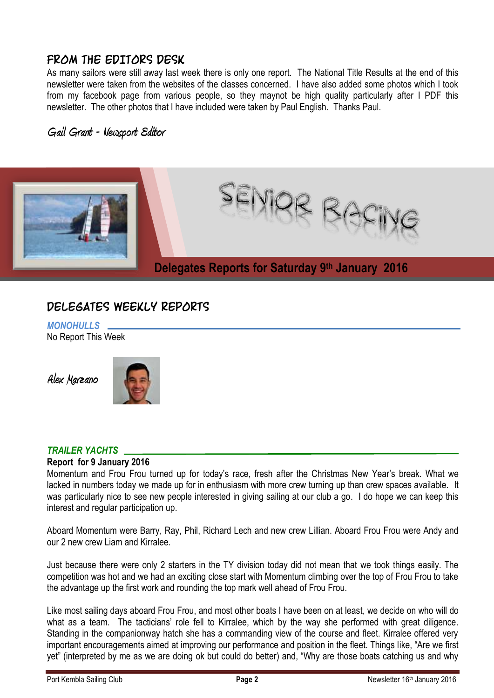#### **FROM THE EDITORS DESK**

As many sailors were still away last week there is only one report. The National Title Results at the end of this newsletter were taken from the websites of the classes concerned. I have also added some photos which I took from my facebook page from various people, so they maynot be high quality particularly after I PDF this newsletter. The other photos that I have included were taken by Paul English. Thanks Paul.

**Gail Grant - Newsport Editor**



# **DELEGATES WEEKLY REPORTS**

*MONOHULLS* No Report This Week





#### *TRAILER YACHTS*

#### **Report for 9 January 2016**

Momentum and Frou Frou turned up for today's race, fresh after the Christmas New Year's break. What we lacked in numbers today we made up for in enthusiasm with more crew turning up than crew spaces available. It was particularly nice to see new people interested in giving sailing at our club a go. I do hope we can keep this interest and regular participation up.

Aboard Momentum were Barry, Ray, Phil, Richard Lech and new crew Lillian. Aboard Frou Frou were Andy and our 2 new crew Liam and Kirralee.

Just because there were only 2 starters in the TY division today did not mean that we took things easily. The competition was hot and we had an exciting close start with Momentum climbing over the top of Frou Frou to take the advantage up the first work and rounding the top mark well ahead of Frou Frou.

Like most sailing days aboard Frou Frou, and most other boats I have been on at least, we decide on who will do what as a team. The tacticians' role fell to Kirralee, which by the way she performed with great diligence. Standing in the companionway hatch she has a commanding view of the course and fleet. Kirralee offered very important encouragements aimed at improving our performance and position in the fleet. Things like, "Are we first yet" (interpreted by me as we are doing ok but could do better) and, "Why are those boats catching us and why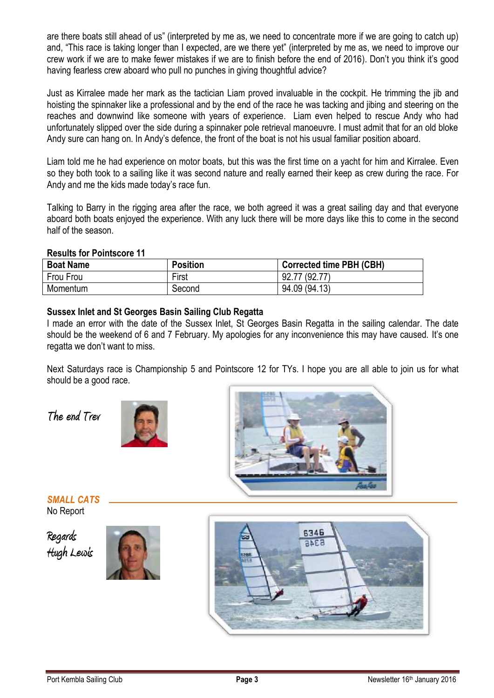are there boats still ahead of us" (interpreted by me as, we need to concentrate more if we are going to catch up) and, "This race is taking longer than I expected, are we there yet" (interpreted by me as, we need to improve our crew work if we are to make fewer mistakes if we are to finish before the end of 2016). Don't you think it's good having fearless crew aboard who pull no punches in giving thoughtful advice?

Just as Kirralee made her mark as the tactician Liam proved invaluable in the cockpit. He trimming the jib and hoisting the spinnaker like a professional and by the end of the race he was tacking and jibing and steering on the reaches and downwind like someone with years of experience. Liam even helped to rescue Andy who had unfortunately slipped over the side during a spinnaker pole retrieval manoeuvre. I must admit that for an old bloke Andy sure can hang on. In Andy's defence, the front of the boat is not his usual familiar position aboard.

Liam told me he had experience on motor boats, but this was the first time on a yacht for him and Kirralee. Even so they both took to a sailing like it was second nature and really earned their keep as crew during the race. For Andy and me the kids made today's race fun.

Talking to Barry in the rigging area after the race, we both agreed it was a great sailing day and that everyone aboard both boats enjoyed the experience. With any luck there will be more days like this to come in the second half of the season.

#### **Results for Pointscore 11**

| <b>Boat Name</b> | <b>Position</b> | <b>Corrected time PBH (CBH)</b> |
|------------------|-----------------|---------------------------------|
| Frou Frou        | First           | 92.77 (92.77)                   |
| Momentum         | Second          | 94.09 (94.13)                   |

#### **Sussex Inlet and St Georges Basin Sailing Club Regatta**

I made an error with the date of the Sussex Inlet, St Georges Basin Regatta in the sailing calendar. The date should be the weekend of 6 and 7 February. My apologies for any inconvenience this may have caused. It's one regatta we don't want to miss.

Next Saturdays race is Championship 5 and Pointscore 12 for TYs. I hope you are all able to join us for what should be a good race.

**The end Trev**





*SMALL CATS* No Report

**Regards Hugh Lewis**



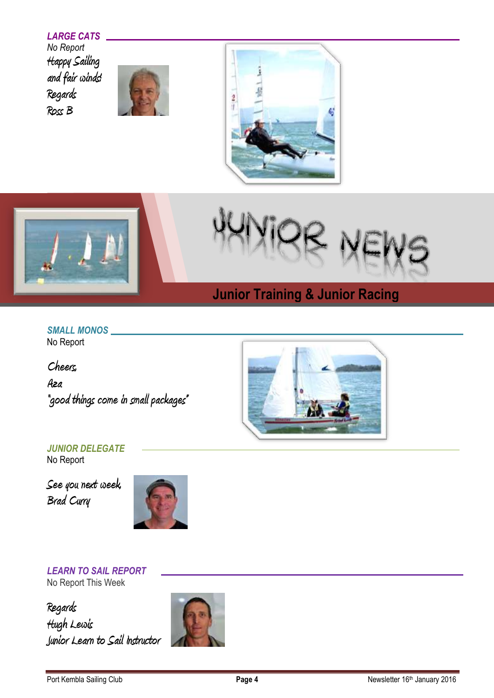#### *LARGE CATS*

*No Report*  **Happy Sailing and fair winds! Regards Ross B**









# **Junior Training & Junior Racing**

**Racing**

#### *SMALL MONOS* No Report

**Cheers, Aza "good things come in small packages"**



#### *JUNIOR DELEGATE* No Report

**See you next week, Brad Curry**



*LEARN TO SAIL REPORT* No Report This Week

**Regards Hugh Lewis Junior Learn to Sail Instructor**

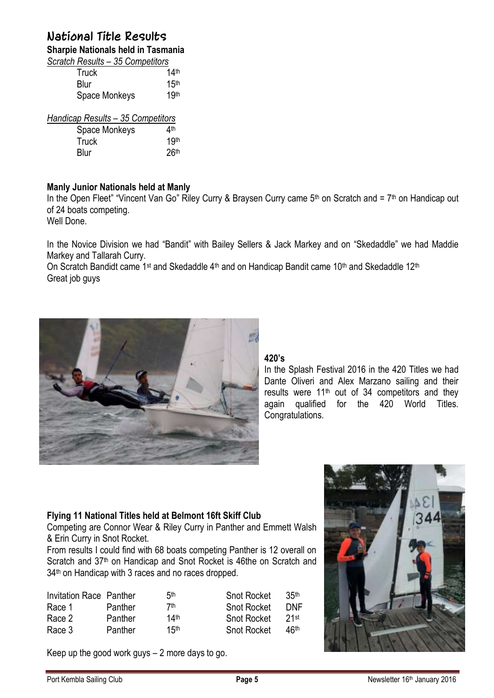## **National Title Results**

#### **Sharpie Nationals held in Tasmania**

*Scratch Results – 35 Competitors*

| Truck         | 14 <sup>th</sup> |
|---------------|------------------|
| Blur          | 15 <sup>th</sup> |
| Space Monkeys | 19th             |

*Handicap Results – 35 Competitors*

| Space Monkeys | 4 <sup>th</sup>  |
|---------------|------------------|
| Truck         | 19th             |
| Blur          | 26 <sup>th</sup> |

#### **Manly Junior Nationals held at Manly**

In the Open Fleet" "Vincent Van Go" Riley Curry & Braysen Curry came 5<sup>th</sup> on Scratch and = 7<sup>th</sup> on Handicap out of 24 boats competing.

Well Done.

In the Novice Division we had "Bandit" with Bailey Sellers & Jack Markey and on "Skedaddle" we had Maddie Markey and Tallarah Curry.

On Scratch Bandidt came 1<sup>st</sup> and Skedaddle 4<sup>th</sup> and on Handicap Bandit came 10<sup>th</sup> and Skedaddle 12<sup>th</sup> Great job guys



#### **420's**

In the Splash Festival 2016 in the 420 Titles we had Dante Oliveri and Alex Marzano sailing and their results were 11th out of 34 competitors and they again qualified for the 420 World Titles. Congratulations.

#### **Flying 11 National Titles held at Belmont 16ft Skiff Club**

Competing are Connor Wear & Riley Curry in Panther and Emmett Walsh & Erin Curry in Snot Rocket.

From results I could find with 68 boats competing Panther is 12 overall on Scratch and 37<sup>th</sup> on Handicap and Snot Rocket is 46the on Scratch and 34<sup>th</sup> on Handicap with 3 races and no races dropped.

| Invitation Race Panther |         | 5th  | <b>Snot Rocket</b> | 35th |
|-------------------------|---------|------|--------------------|------|
| Race 1                  | Panther | 7th  | <b>Snot Rocket</b> | DNF  |
| Race 2                  | Panther | 14th | <b>Snot Rocket</b> | 21st |
| Race 3                  | Panther | 15th | <b>Snot Rocket</b> | 46th |

Keep up the good work guys  $-2$  more days to go.

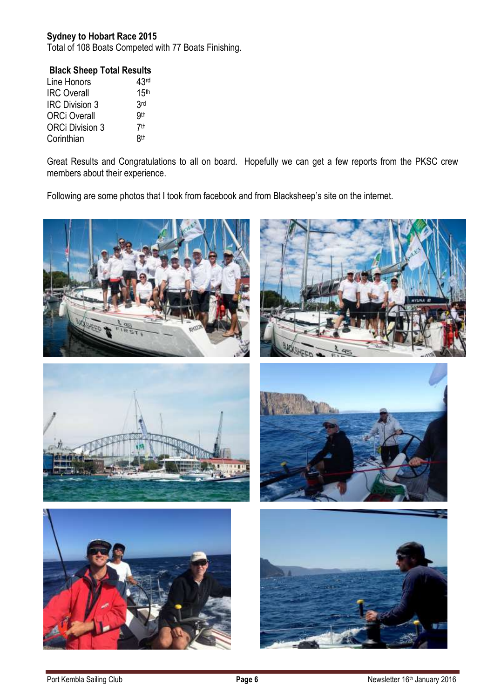#### **Sydney to Hobart Race 2015**

Total of 108 Boats Competed with 77 Boats Finishing.

| <b>Black Sheep Total Results</b> |                  |
|----------------------------------|------------------|
| Line Honors                      | 43 <sub>rd</sub> |
| <b>IRC Overall</b>               | 15 <sup>th</sup> |
| <b>IRC Division 3</b>            | 3rd              |
| <b>ORCi Overall</b>              | <b>9th</b>       |
| <b>ORCi Division 3</b>           | 7 <sup>th</sup>  |
| Corinthian                       | <b>Rth</b>       |

Great Results and Congratulations to all on board. Hopefully we can get a few reports from the PKSC crew members about their experience.

Following are some photos that I took from facebook and from Blacksheep's site on the internet.











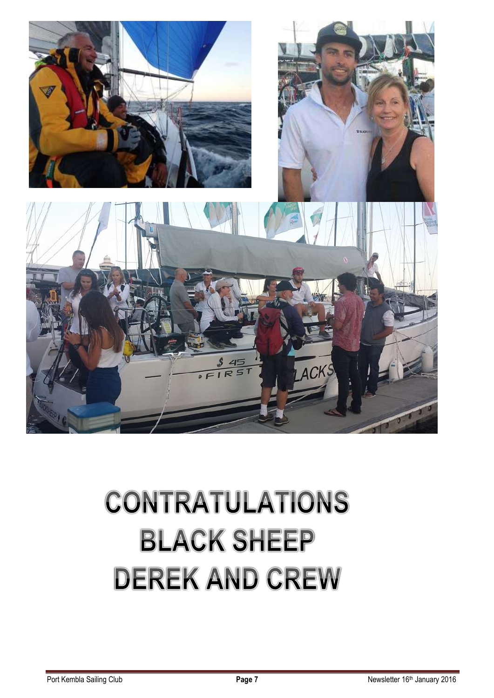

# CONTRATULATIONS **BLACK SHEEP DEREK AND CREW**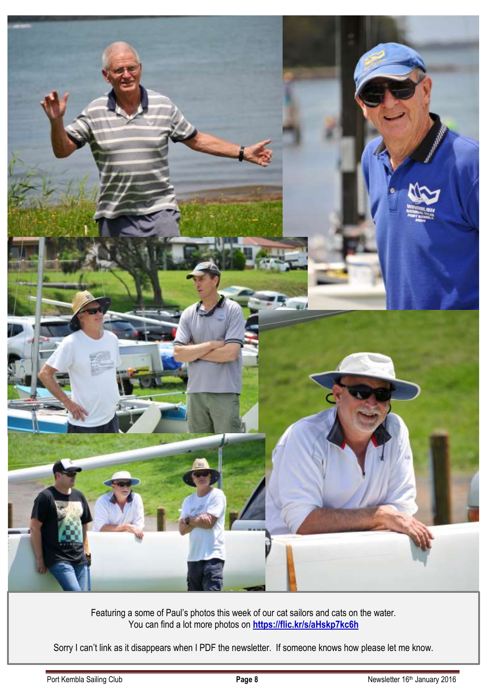

Featuring a some of Paul's photos this week of our cat sailors and cats on the water. You can find a lot more photos on **<https://flic.kr/s/aHskp7kc6h>**

Sorry I can't link as it disappears when I PDF the newsletter. If someone knows how please let me know.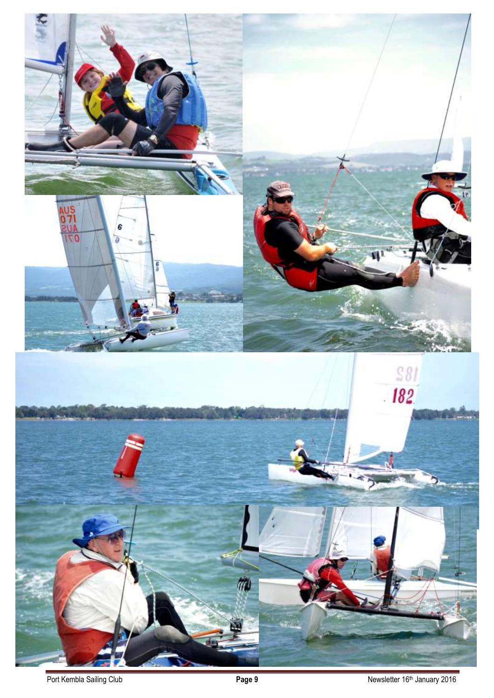